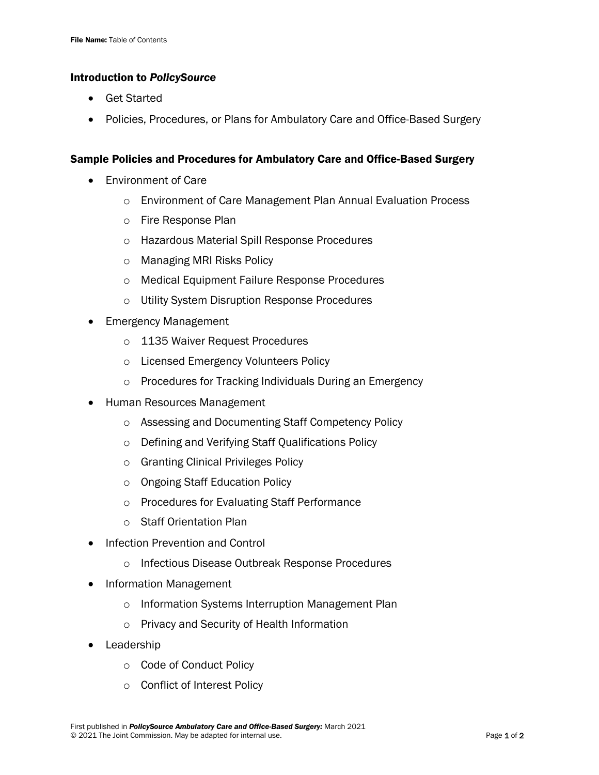## Introduction to *PolicySource*

- **Get Started**
- Policies, Procedures, or Plans for Ambulatory Care and Office-Based Surgery

## Sample Policies and Procedures for Ambulatory Care and Office-Based Surgery

- Environment of Care
	- o Environment of Care Management Plan Annual Evaluation Process
	- o Fire Response Plan
	- o Hazardous Material Spill Response Procedures
	- o Managing MRI Risks Policy
	- o Medical Equipment Failure Response Procedures
	- o Utility System Disruption Response Procedures
- Emergency Management
	- o 1135 Waiver Request Procedures
	- o Licensed Emergency Volunteers Policy
	- o Procedures for Tracking Individuals During an Emergency
- Human Resources Management
	- o Assessing and Documenting Staff Competency Policy
	- o Defining and Verifying Staff Qualifications Policy
	- o Granting Clinical Privileges Policy
	- o Ongoing Staff Education Policy
	- o Procedures for Evaluating Staff Performance
	- o Staff Orientation Plan
- Infection Prevention and Control
	- o Infectious Disease Outbreak Response Procedures
- Information Management
	- o Information Systems Interruption Management Plan
	- o Privacy and Security of Health Information
- **Leadership** 
	- o Code of Conduct Policy
	- o Conflict of Interest Policy